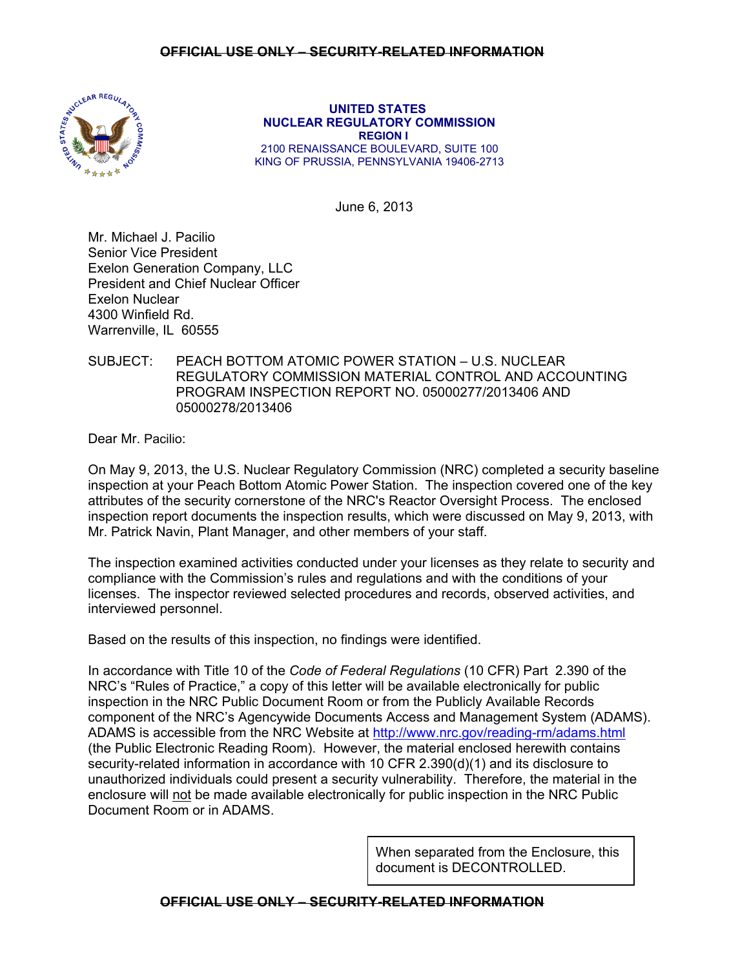## **OFFICIAL USE ONLY – SECURITY-RELATED INFORMATION**



 **UNITED STATES NUCLEAR REGULATORY COMMISSION REGION I**  2100 RENAISSANCE BOULEVARD, SUITE 100 KING OF PRUSSIA, PENNSYLVANIA 19406-2713

June 6, 2013

Mr. Michael J. Pacilio Senior Vice President Exelon Generation Company, LLC President and Chief Nuclear Officer Exelon Nuclear 4300 Winfield Rd. Warrenville, IL 60555

# SUBJECT: PEACH BOTTOM ATOMIC POWER STATION – U.S. NUCLEAR REGULATORY COMMISSION MATERIAL CONTROL AND ACCOUNTING PROGRAM INSPECTION REPORT NO. 05000277/2013406 AND 05000278/2013406

Dear Mr. Pacilio:

On May 9, 2013, the U.S. Nuclear Regulatory Commission (NRC) completed a security baseline inspection at your Peach Bottom Atomic Power Station. The inspection covered one of the key attributes of the security cornerstone of the NRC's Reactor Oversight Process. The enclosed inspection report documents the inspection results, which were discussed on May 9, 2013, with Mr. Patrick Navin, Plant Manager, and other members of your staff.

The inspection examined activities conducted under your licenses as they relate to security and compliance with the Commission's rules and regulations and with the conditions of your licenses. The inspector reviewed selected procedures and records, observed activities, and interviewed personnel.

Based on the results of this inspection, no findings were identified.

In accordance with Title 10 of the *Code of Federal Regulations* (10 CFR) Part 2.390 of the NRC's "Rules of Practice," a copy of this letter will be available electronically for public inspection in the NRC Public Document Room or from the Publicly Available Records component of the NRC's Agencywide Documents Access and Management System (ADAMS). ADAMS is accessible from the NRC Website at http://www.nrc.gov/reading-rm/adams.html (the Public Electronic Reading Room). However, the material enclosed herewith contains security-related information in accordance with 10 CFR 2.390(d)(1) and its disclosure to unauthorized individuals could present a security vulnerability. Therefore, the material in the enclosure will not be made available electronically for public inspection in the NRC Public Document Room or in ADAMS.

> When separated from the Enclosure, this document is DECONTROLLED.

**OFFICIAL USE ONLY – SECURITY-RELATED INFORMATION**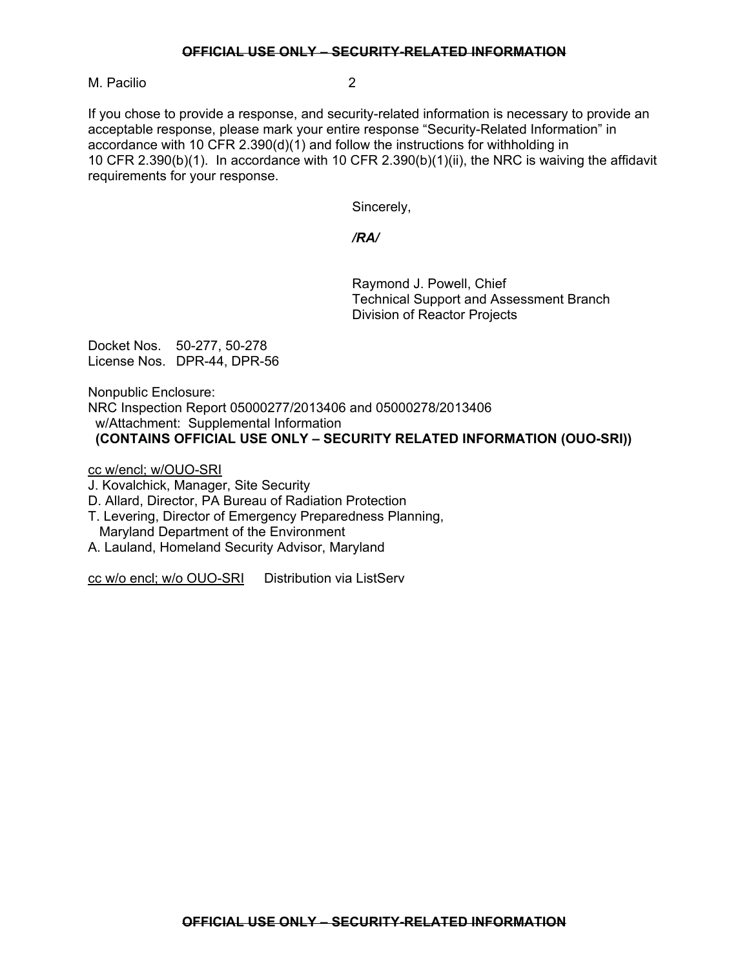#### **OFFICIAL USE ONLY – SECURITY-RELATED INFORMATION**

M. Pacilio 2

If you chose to provide a response, and security-related information is necessary to provide an acceptable response, please mark your entire response "Security-Related Information" in accordance with 10 CFR 2.390(d)(1) and follow the instructions for withholding in 10 CFR 2.390(b)(1). In accordance with 10 CFR 2.390(b)(1)(ii), the NRC is waiving the affidavit requirements for your response.

Sincerely,

## */RA/*

 Raymond J. Powell, Chief Technical Support and Assessment Branch Division of Reactor Projects

Docket Nos. 50-277, 50-278 License Nos. DPR-44, DPR-56

Nonpublic Enclosure: NRC Inspection Report 05000277/2013406 and 05000278/2013406 w/Attachment: Supplemental Information  **(CONTAINS OFFICIAL USE ONLY – SECURITY RELATED INFORMATION (OUO-SRI))**

cc w/encl; w/OUO-SRI

J. Kovalchick, Manager, Site Security

D. Allard, Director, PA Bureau of Radiation Protection

T. Levering, Director of Emergency Preparedness Planning, Maryland Department of the Environment

A. Lauland, Homeland Security Advisor, Maryland

cc w/o encl; w/o OUO-SRI Distribution via ListServ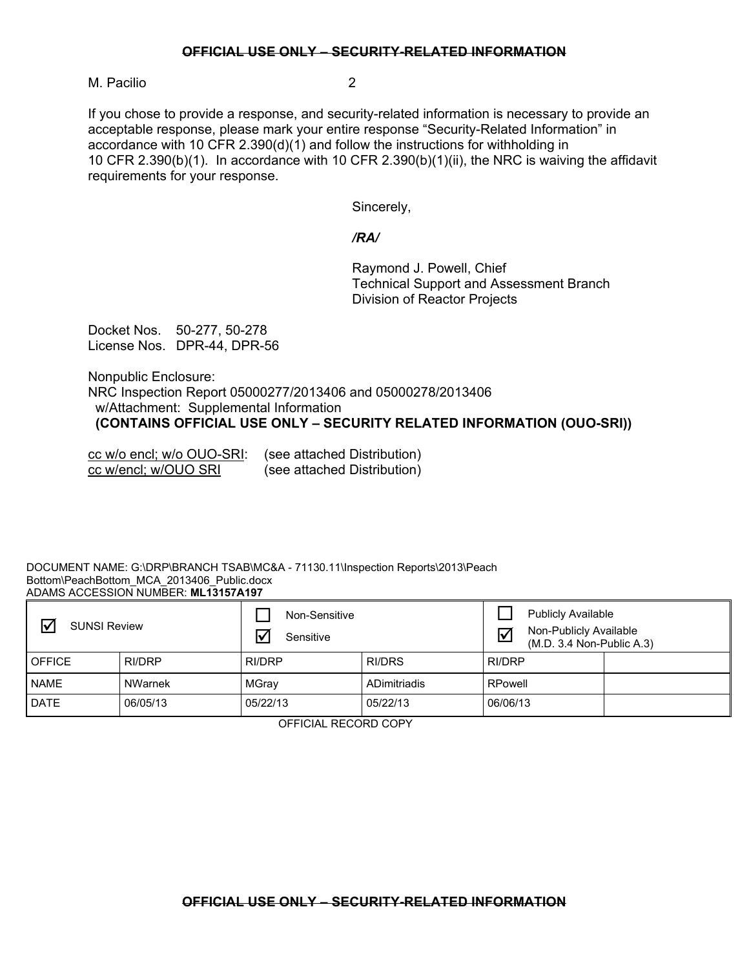#### **OFFICIAL USE ONLY – SECURITY-RELATED INFORMATION**

M. Pacilio 2

If you chose to provide a response, and security-related information is necessary to provide an acceptable response, please mark your entire response "Security-Related Information" in accordance with 10 CFR 2.390(d)(1) and follow the instructions for withholding in 10 CFR 2.390(b)(1). In accordance with 10 CFR 2.390(b)(1)(ii), the NRC is waiving the affidavit requirements for your response.

Sincerely,

### */RA/*

 Raymond J. Powell, Chief Technical Support and Assessment Branch Division of Reactor Projects

Docket Nos. 50-277, 50-278 License Nos. DPR-44, DPR-56

Nonpublic Enclosure: NRC Inspection Report 05000277/2013406 and 05000278/2013406 w/Attachment: Supplemental Information  **(CONTAINS OFFICIAL USE ONLY – SECURITY RELATED INFORMATION (OUO-SRI))**

cc w/o encl; w/o OUO-SRI: (see attached Distribution) cc w/encl; w/OUO SRI (see attached Distribution)

#### DOCUMENT NAME: G:\DRP\BRANCH TSAB\MC&A - 71130.11\Inspection Reports\2013\Peach Bottom\PeachBottom\_MCA\_2013406\_Public.docx ADAMS ACCESSION NUMBER: **ML13157A197**

| $\overline{\mathbf{v}}$<br><b>SUNSI Review</b> |          | Non-Sensitive<br>Sensitive |               | <b>Publicly Available</b><br>Non-Publicly Available<br>$\blacktriangledown$<br>$(M.D. 3.4 Non-Public A.3)$ |  |
|------------------------------------------------|----------|----------------------------|---------------|------------------------------------------------------------------------------------------------------------|--|
| <b>OFFICE</b>                                  | RI/DRP   | RI/DRP                     | <b>RI/DRS</b> | RI/DRP                                                                                                     |  |
| <b>NAME</b>                                    | NWarnek  | MGray                      | ADimitriadis  | RPowell                                                                                                    |  |
| DATE                                           | 06/05/13 | 05/22/13                   | 05/22/13      | 06/06/13                                                                                                   |  |

OFFICIAL RECORD COPY